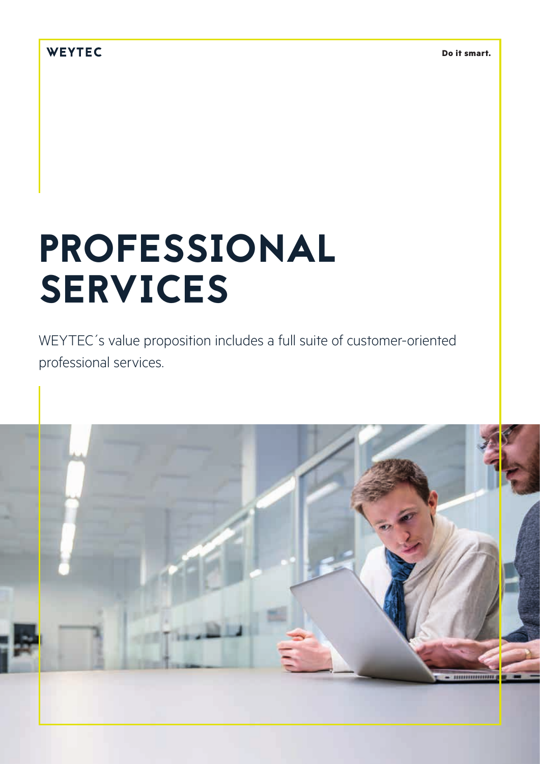## WEYTEC

## PROFESSIONAL SERVICES

WEYTEC´s value proposition includes a full suite of customer-oriented professional services.

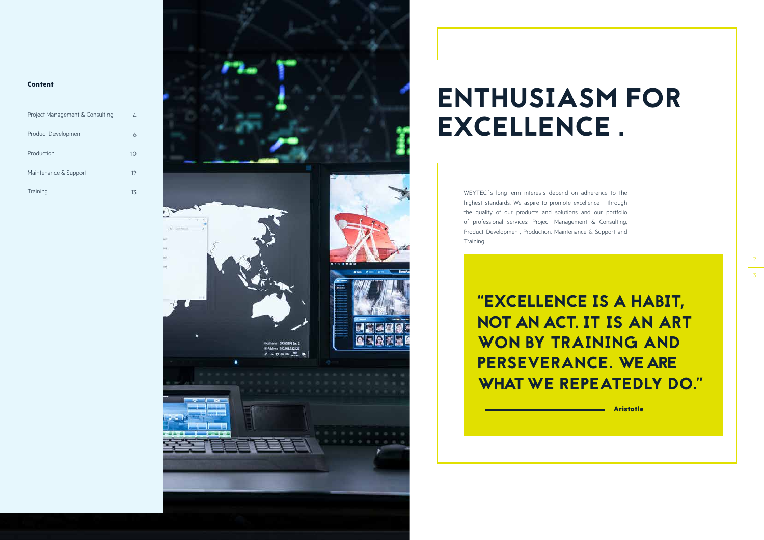#### **Content**

| Project Management & Consulting | 4  |
|---------------------------------|----|
| Product Development             |    |
| Production                      | 10 |
| Maintenance & Support           | 12 |
| Training                        |    |



WEYTEC's long-term interests depend on adherence to the highest standards. We aspire to promote excellence - through the quality of our products and solutions and our portfolio of professional services: Project Management & Consulting, Product Development, Production, Maintenance & Support and Training.

# ENTHUSIASM FOR EXCELLENCE .

## "EXCELLENCE IS A HABIT, NOT AN ACT. IT IS AN ART WON BY TRAINING AND PERSEVERANCE. WE ARE WHAT WE REPEATEDLY DO."

**Aristotle**

 $\frac{2}{3}$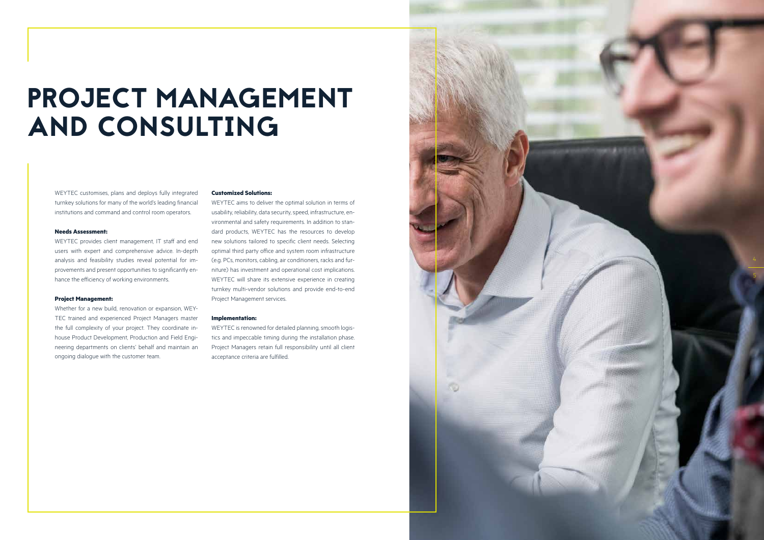WEYTEC customises, plans and deploys fully integrated turnkey solutions for many of the world's leading financial institutions and command and control room operators.

#### **Needs Assessment:**

WEYTEC provides client management, IT staff and end users with expert and comprehensive advice. In-depth analysis and feasibility studies reveal potential for im provements and present opportunities to significantly en hance the efficiency of working environments.

#### **Project Management:**

Whether for a new build, renovation or expansion, WEY - TEC trained and experienced Project Managers master the full complexity of your project. They coordinate inhouse Product Development, Production and Field Engineering departments on clients' behalf and maintain an ongoing dialogue with the customer team.

#### **Customized Solutions:**

WEYTEC aims to deliver the optimal solution in terms of usability, reliability, data security, speed, infrastructure, en vironmental and safety requirements. In addition to stan dard products, WEYTEC has the resources to develop new solutions tailored to specific client needs. Selecting optimal third party office and system room infrastructure (e.g. PCs, monitors, cabling, air conditioners, racks and fur niture) has investment and operational cost implications. WEYTEC will share its extensive experience in creating turnkey multi-vendor solutions and provide end-to-end Project Management services.

#### **Implementation:**

WEYTEC is renowned for detailed planning, smooth logis tics and impeccable timing during the installation phase. Project Managers retain full responsibility until all client acceptance criteria are fulfilled.

## PROJECT MANAGEMENT AND CONSULTING

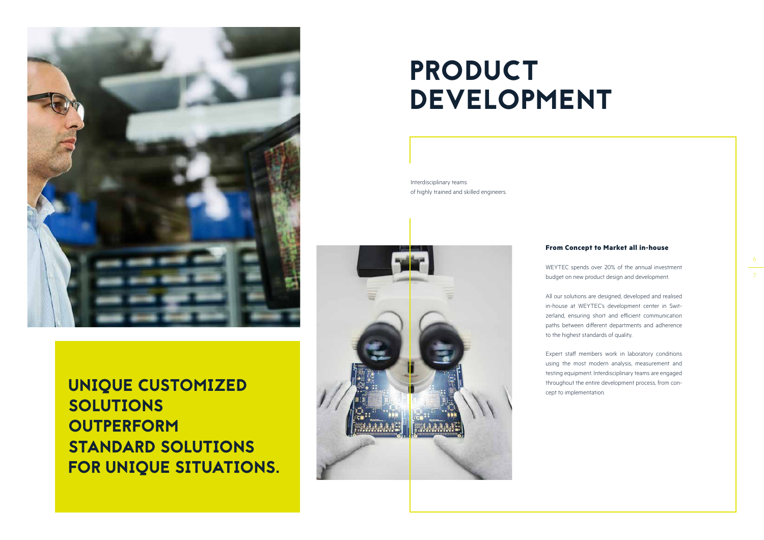

UNIQUE CUSTOMIZED SOLUTIONS **OUTPERFORM** STANDARD SOLUTIONS FOR UNIQUE SITUATIONS.

## PRODUCT DEVELOPMENT

### **From Concept to Market all in-house**

WEYTEC spends over 20% of the annual investment budget on new product design and development.

All our solutions are designed, developed and realised in-house at WEYTEC's development center in Switzerland, ensuring short and efficient communication paths between different departments and adherence to the highest standards of quality.

Expert staff members work in laboratory conditions using the most modern analysis, measurement and testing equipment. Interdisciplinary teams are engaged throughout the entire development process, from con-

cept to implementation.

Interdisciplinary teams of highly trained and skilled engineers.



6 7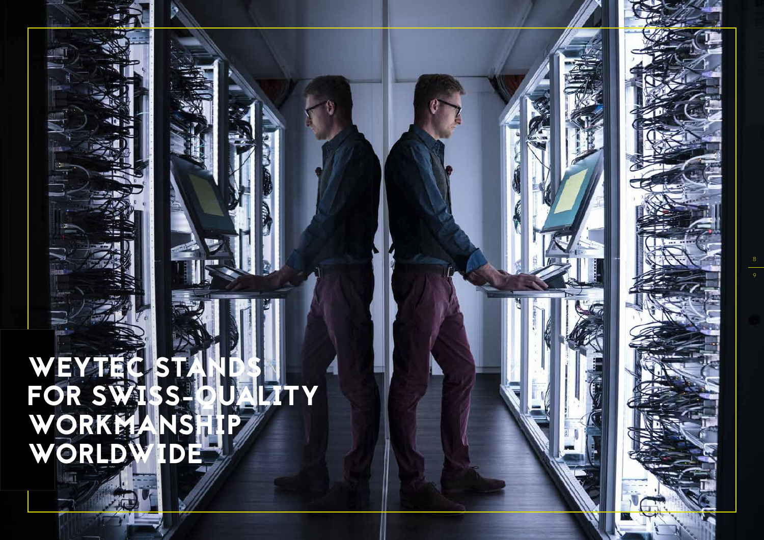# WEYTEC STANDS FOR SWISS-QUALITY WORKMANSHIP WORLDWIDE

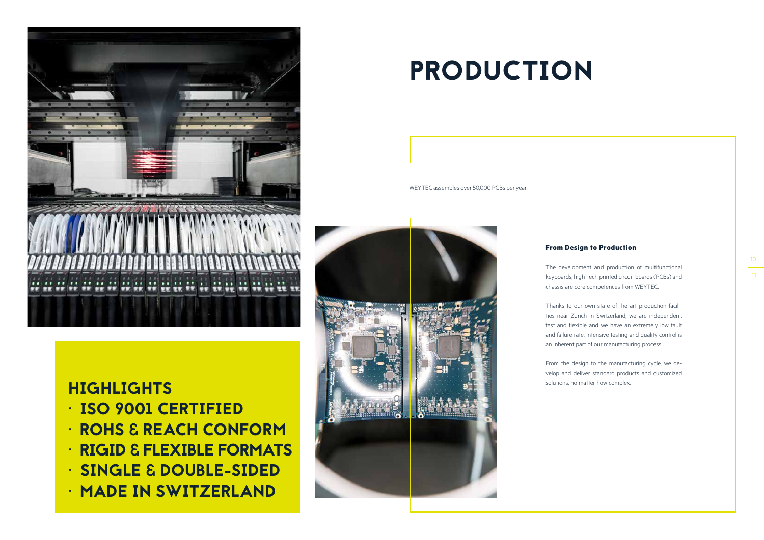

## HIGHLIGHTS

- ISO 9001 CERTIFIED
- ROHS & REACH CONFORM
- RIGID & FLEXIBLE FORMATS
- SINGLE & DOUBLE-SIDED
- MADE IN SWITZERLAND

# PRODUCTION

## **From Design to Production**

The development and production of multifunctional keyboards, high-tech printed circuit boards (PCBs) and chassis are core competences from WEYTEC.

Thanks to our own state-of-the-art production facilities near Zurich in Switzerland, we are independent, fast and flexible and we have an extremely low fault and failure rate. Intensive testing and quality control is an inherent part of our manufacturing process.

From the design to the manufacturing cycle, we develop and deliver standard products and customized solutions, no matter how complex.

WEYTEC assembles over 50,000 PCBs per year.





10

11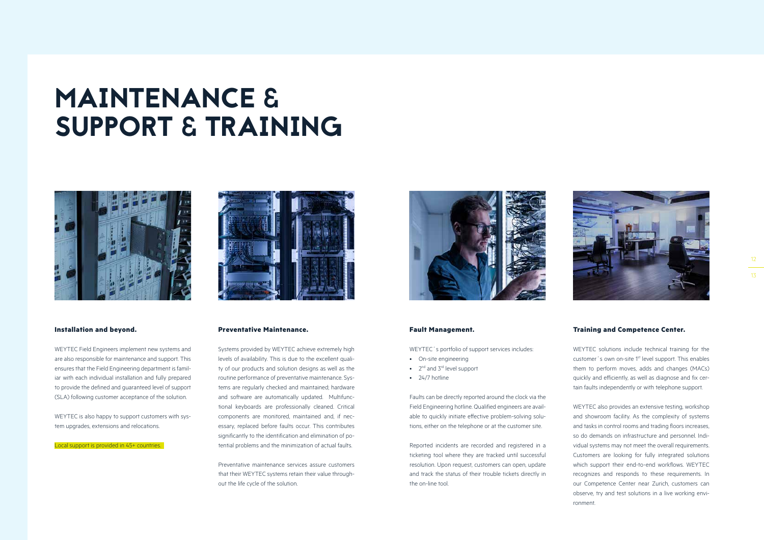#### **Installation and beyond.**

WEYTEC Field Engineers implement new systems and are also responsible for maintenance and support. This ensures that the Field Engineering department is familiar with each individual installation and fully prepared to provide the defined and guaranteed level of support (SLA) following customer acceptance of the solution.

WEYTEC is also happy to support customers with system upgrades, extensions and relocations.

#### Local support is provided in 45+ countries.



#### **Fault Management.**

| WEYTEC's portfolio of support services includes:            |
|-------------------------------------------------------------|
| • On-site engineering                                       |
| $\bullet$ 2 <sup>nd</sup> and 3 <sup>rd</sup> level support |
| $\bullet$ 24/7 hotline                                      |
|                                                             |
| Faults can be directly reported around the clock via the    |

Field Engineering hotline. Qualified engineers are available to quickly initiate effective problem-solving solutions, either on the telephone or at the customer site.

Reported incidents are recorded and registered in a ticketing tool where they are tracked until successful resolution. Upon request, customers can open, update and track the status of their trouble tickets directly in the on-line tool.

#### **Preventative Maintenance.**

Systems provided by WEYTEC achieve extremely high levels of availability. This is due to the excellent quality of our products and solution designs as well as the routine performance of preventative maintenance. Systems are regularly checked and maintained; hardware and software are automatically updated. Multifunctional keyboards are professionally cleaned. Critical components are monitored, maintained and, if necessary, replaced before faults occur. This contributes significantly to the identification and elimination of potential problems and the minimization of actual faults.

Preventative maintenance services assure customers that their WEYTEC systems retain their value throughout the life cycle of the solution.



#### **Training and Competence Center.**

WEYTEC solutions include technical training for the customer's own on-site 1<sup>st</sup> level support. This enables them to perform moves, adds and changes (MACs) quickly and efficiently, as well as diagnose and fix certain faults independently or with telephone support. WEYTEC also provides an extensive testing, workshop and showroom facility. As the complexity of systems and tasks in control rooms and trading floors increases, so do demands on infrastructure and personnel. Individual systems may not meet the overall requirements. Customers are looking for fully integrated solutions which support their end-to-end workflows. WEYTEC recognizes and responds to these requirements. In our Competence Center near Zurich, customers can observe, try and test solutions in a live working environment.



## MAINTENANCE & SUPPORT & TRAINING